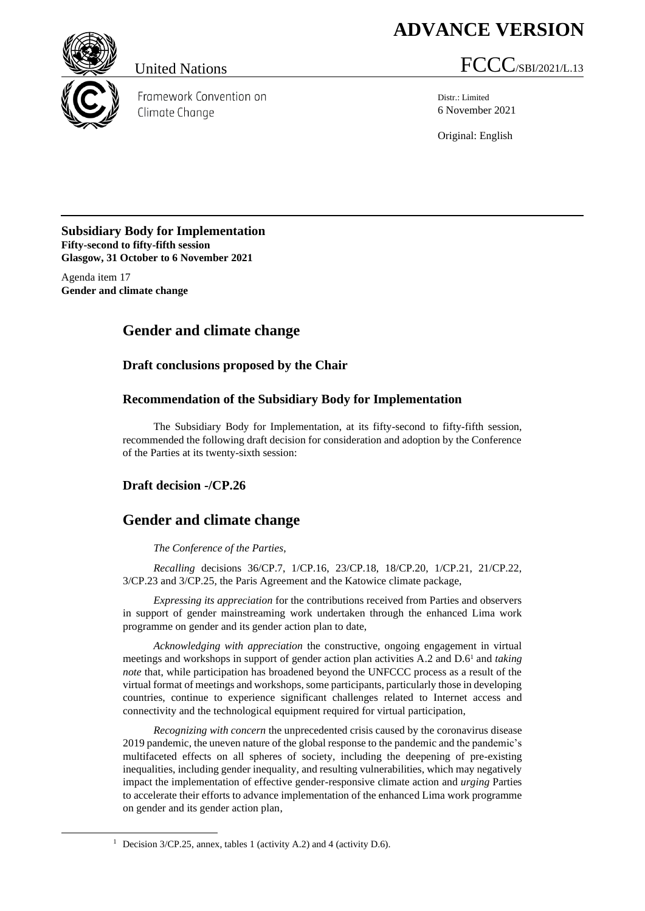# **ADVANCE VERSION**



Framework Convention on Climate Change

United Nations  $\text{FCCC}_{\text{/SBI/2021/L.13}}$ 

Distr.: Limited 6 November 2021

Original: English

#### **Subsidiary Body for Implementation Fifty-second to fifty-fifth session Glasgow, 31 October to 6 November 2021**

Agenda item 17 **Gender and climate change**

## **Gender and climate change**

#### **Draft conclusions proposed by the Chair**

#### **Recommendation of the Subsidiary Body for Implementation**

The Subsidiary Body for Implementation, at its fifty-second to fifty-fifth session, recommended the following draft decision for consideration and adoption by the Conference of the Parties at its twenty-sixth session:

#### **Draft decision -/CP.26**

### **Gender and climate change**

#### *The Conference of the Parties*,

*Recalling* decisions 36/CP.7, 1/CP.16, 23/CP.18, 18/CP.20, 1/CP.21, 21/CP.22, 3/CP.23 and 3/CP.25, the Paris Agreement and the Katowice climate package,

*Expressing its appreciation* for the contributions received from Parties and observers in support of gender mainstreaming work undertaken through the enhanced Lima work programme on gender and its gender action plan to date,

*Acknowledging with appreciation* the constructive, ongoing engagement in virtual meetings and workshops in support of gender action plan activities A.2 and D.6 <sup>1</sup> and *taking note* that, while participation has broadened beyond the UNFCCC process as a result of the virtual format of meetings and workshops, some participants, particularly those in developing countries, continue to experience significant challenges related to Internet access and connectivity and the technological equipment required for virtual participation,

*Recognizing with concern* the unprecedented crisis caused by the coronavirus disease 2019 pandemic, the uneven nature of the global response to the pandemic and the pandemic's multifaceted effects on all spheres of society, including the deepening of pre-existing inequalities, including gender inequality, and resulting vulnerabilities, which may negatively impact the implementation of effective gender-responsive climate action and *urging* Parties to accelerate their efforts to advance implementation of the enhanced Lima work programme on gender and its gender action plan,

<sup>&</sup>lt;sup>1</sup> Decision  $3$ /CP.25, annex, tables 1 (activity A.2) and 4 (activity D.6).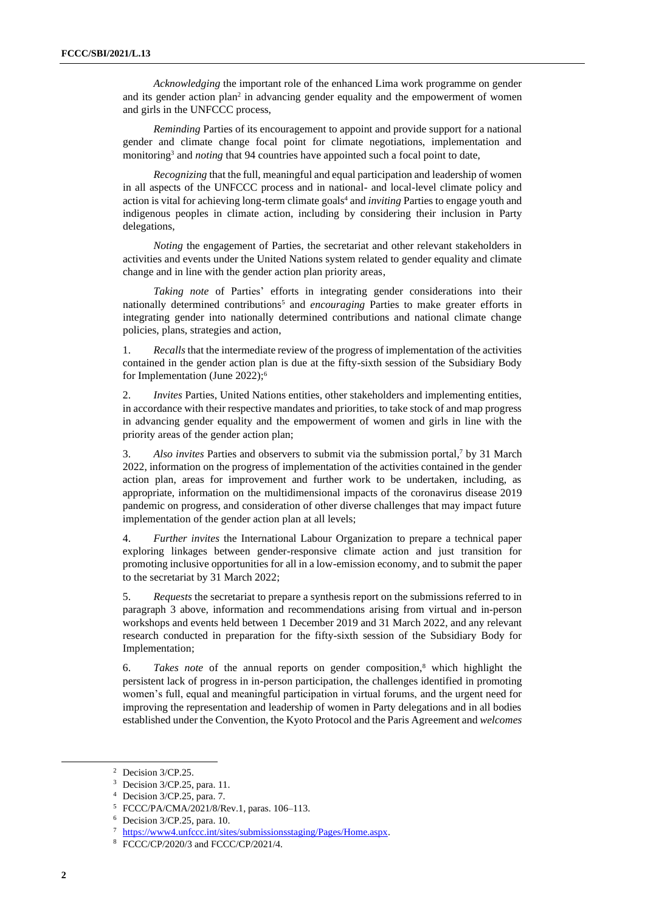*Acknowledging* the important role of the enhanced Lima work programme on gender and its gender action plan<sup>2</sup> in advancing gender equality and the empowerment of women and girls in the UNFCCC process,

*Reminding* Parties of its encouragement to appoint and provide support for a national gender and climate change focal point for climate negotiations, implementation and monitoring<sup>3</sup> and *noting* that 94 countries have appointed such a focal point to date,

*Recognizing* that the full, meaningful and equal participation and leadership of women in all aspects of the UNFCCC process and in national- and local-level climate policy and action is vital for achieving long-term climate goals<sup>4</sup> and *inviting* Parties to engage youth and indigenous peoples in climate action, including by considering their inclusion in Party delegations,

*Noting* the engagement of Parties, the secretariat and other relevant stakeholders in activities and events under the United Nations system related to gender equality and climate change and in line with the gender action plan priority areas,

*Taking note* of Parties' efforts in integrating gender considerations into their nationally determined contributions<sup>5</sup> and *encouraging* Parties to make greater efforts in integrating gender into nationally determined contributions and national climate change policies, plans, strategies and action,

1. *Recalls* that the intermediate review of the progress of implementation of the activities contained in the gender action plan is due at the fifty-sixth session of the Subsidiary Body for Implementation (June 2022);<sup>6</sup>

2. *Invites* Parties, United Nations entities, other stakeholders and implementing entities, in accordance with their respective mandates and priorities, to take stock of and map progress in advancing gender equality and the empowerment of women and girls in line with the priority areas of the gender action plan;

3. *Also invites* Parties and observers to submit via the submission portal, <sup>7</sup> by 31 March 2022, information on the progress of implementation of the activities contained in the gender action plan, areas for improvement and further work to be undertaken, including, as appropriate, information on the multidimensional impacts of the coronavirus disease 2019 pandemic on progress, and consideration of other diverse challenges that may impact future implementation of the gender action plan at all levels;

4. *Further invites* the International Labour Organization to prepare a technical paper exploring linkages between gender-responsive climate action and just transition for promoting inclusive opportunities for all in a low-emission economy, and to submit the paper to the secretariat by 31 March 2022;

5. *Requests* the secretariat to prepare a synthesis report on the submissions referred to in paragraph 3 above, information and recommendations arising from virtual and in-person workshops and events held between 1 December 2019 and 31 March 2022, and any relevant research conducted in preparation for the fifty-sixth session of the Subsidiary Body for Implementation;

6. *Takes note* of the annual reports on gender composition,<sup>8</sup> which highlight the persistent lack of progress in in-person participation, the challenges identified in promoting women's full, equal and meaningful participation in virtual forums, and the urgent need for improving the representation and leadership of women in Party delegations and in all bodies established under the Convention, the Kyoto Protocol and the Paris Agreement and *welcomes* 

<sup>&</sup>lt;sup>2</sup> Decision 3/CP.25.

<sup>3</sup> Decision 3/CP.25, para. 11.

<sup>4</sup> Decision 3/CP.25, para. 7.

<sup>5</sup> FCCC/PA/CMA/2021/8/Rev.1, paras. 106–113.

 $6$  Decision  $3$ /CP.25, para. 10.

<sup>7</sup> [https://www4.unfccc.int/sites/submissionsstaging/Pages/Home.aspx.](https://www4.unfccc.int/sites/submissionsstaging/Pages/Home.aspx)

<sup>8</sup> FCCC/CP/2020/3 and FCCC/CP/2021/4.